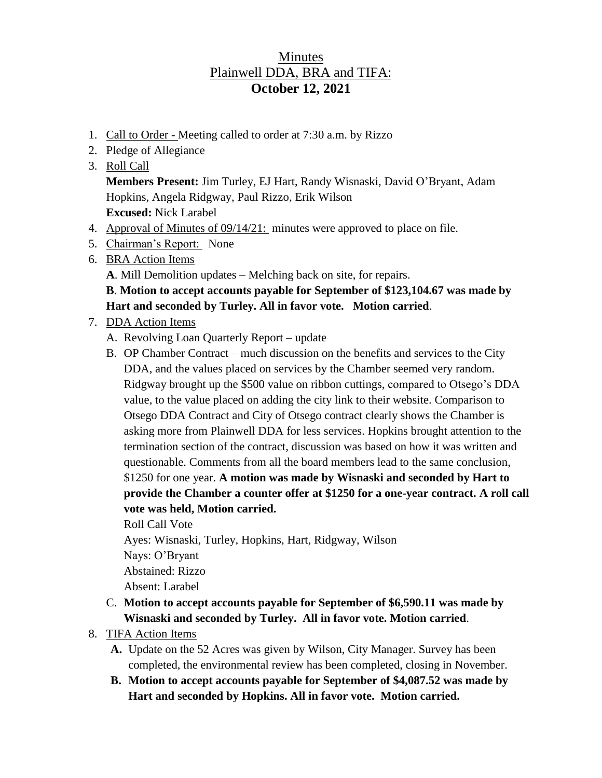## **Minutes** Plainwell DDA, BRA and TIFA: **October 12, 2021**

- 1. Call to Order Meeting called to order at 7:30 a.m. by Rizzo
- 2. Pledge of Allegiance
- 3. Roll Call

**Members Present:** Jim Turley, EJ Hart, Randy Wisnaski, David O'Bryant, Adam Hopkins, Angela Ridgway, Paul Rizzo, Erik Wilson **Excused:** Nick Larabel

- 4. Approval of Minutes of 09/14/21: minutes were approved to place on file.
- 5. Chairman's Report: None
- 6. BRA Action Items
	- **A**. Mill Demolition updates Melching back on site, for repairs.

## **B**. **Motion to accept accounts payable for September of \$123,104.67 was made by Hart and seconded by Turley. All in favor vote. Motion carried**.

- 7. DDA Action Items
	- A. Revolving Loan Quarterly Report update
	- B. OP Chamber Contract much discussion on the benefits and services to the City DDA, and the values placed on services by the Chamber seemed very random. Ridgway brought up the \$500 value on ribbon cuttings, compared to Otsego's DDA value, to the value placed on adding the city link to their website. Comparison to Otsego DDA Contract and City of Otsego contract clearly shows the Chamber is asking more from Plainwell DDA for less services. Hopkins brought attention to the termination section of the contract, discussion was based on how it was written and questionable. Comments from all the board members lead to the same conclusion, \$1250 for one year. **A motion was made by Wisnaski and seconded by Hart to provide the Chamber a counter offer at \$1250 for a one-year contract. A roll call vote was held, Motion carried.**

Roll Call Vote

Ayes: Wisnaski, Turley, Hopkins, Hart, Ridgway, Wilson

Nays: O'Bryant

Abstained: Rizzo

Absent: Larabel

- C. **Motion to accept accounts payable for September of \$6,590.11 was made by Wisnaski and seconded by Turley. All in favor vote. Motion carried**.
- 8. TIFA Action Items
	- **A.** Update on the 52 Acres was given by Wilson, City Manager. Survey has been completed, the environmental review has been completed, closing in November.
	- **B. Motion to accept accounts payable for September of \$4,087.52 was made by Hart and seconded by Hopkins. All in favor vote. Motion carried.**